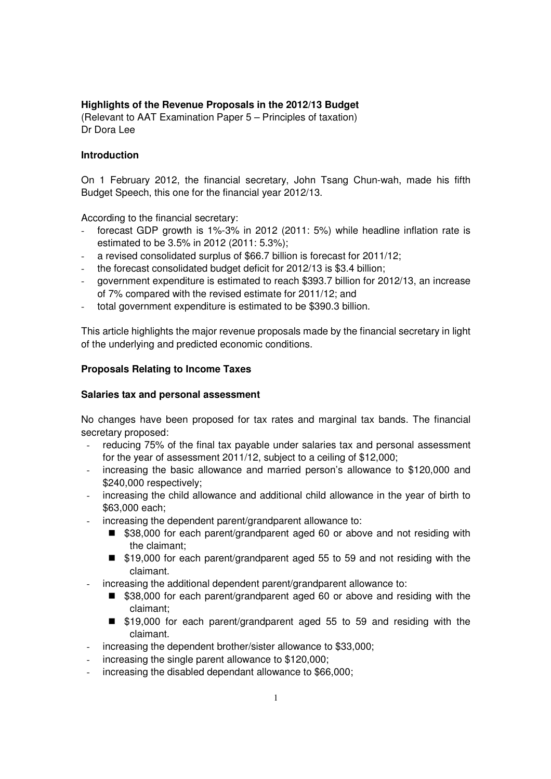# **Highlights of the Revenue Proposals in the 2012/13 Budget**

(Relevant to AAT Examination Paper 5 – Principles of taxation) Dr Dora Lee

## **Introduction**

On 1 February 2012, the financial secretary, John Tsang Chun-wah, made his fifth Budget Speech, this one for the financial year 2012/13.

According to the financial secretary:

- forecast GDP growth is 1%-3% in 2012 (2011: 5%) while headline inflation rate is estimated to be 3.5% in 2012 (2011: 5.3%);
- a revised consolidated surplus of \$66.7 billion is forecast for 2011/12;
- the forecast consolidated budget deficit for 2012/13 is \$3.4 billion;
- government expenditure is estimated to reach \$393.7 billion for 2012/13, an increase of 7% compared with the revised estimate for 2011/12; and
- total government expenditure is estimated to be \$390.3 billion.

This article highlights the major revenue proposals made by the financial secretary in light of the underlying and predicted economic conditions.

## **Proposals Relating to Income Taxes**

### **Salaries tax and personal assessment**

No changes have been proposed for tax rates and marginal tax bands. The financial secretary proposed:

- reducing 75% of the final tax payable under salaries tax and personal assessment for the year of assessment 2011/12, subject to a ceiling of \$12,000;
- increasing the basic allowance and married person's allowance to \$120,000 and \$240,000 respectively;
- increasing the child allowance and additional child allowance in the year of birth to \$63,000 each;
- increasing the dependent parent/grandparent allowance to:
	- \$38,000 for each parent/grandparent aged 60 or above and not residing with the claimant;
	- \$19,000 for each parent/grandparent aged 55 to 59 and not residing with the claimant.
- increasing the additional dependent parent/grandparent allowance to:
	- \$38,000 for each parent/grandparent aged 60 or above and residing with the claimant;
	- \$19,000 for each parent/grandparent aged 55 to 59 and residing with the claimant.
- increasing the dependent brother/sister allowance to \$33,000;
- increasing the single parent allowance to \$120,000;
- increasing the disabled dependant allowance to \$66,000;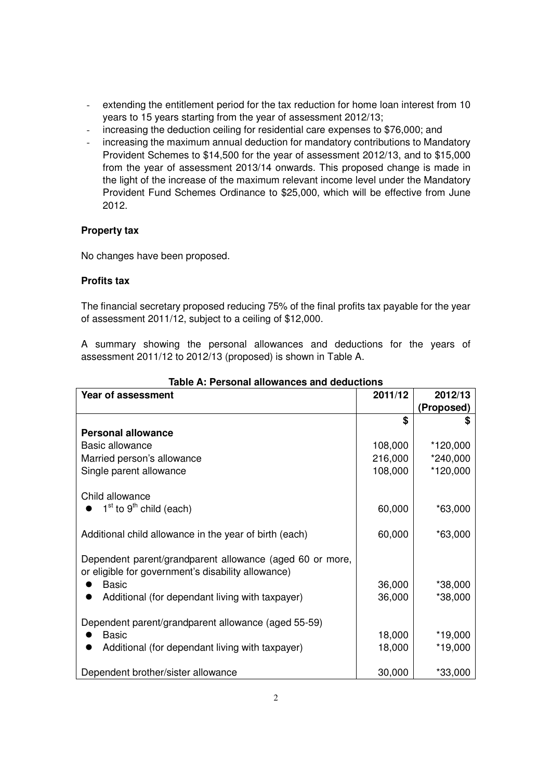- extending the entitlement period for the tax reduction for home loan interest from 10 years to 15 years starting from the year of assessment 2012/13;
- increasing the deduction ceiling for residential care expenses to \$76,000; and
- increasing the maximum annual deduction for mandatory contributions to Mandatory Provident Schemes to \$14,500 for the year of assessment 2012/13, and to \$15,000 from the year of assessment 2013/14 onwards. This proposed change is made in the light of the increase of the maximum relevant income level under the Mandatory Provident Fund Schemes Ordinance to \$25,000, which will be effective from June 2012.

# **Property tax**

No changes have been proposed.

# **Profits tax**

The financial secretary proposed reducing 75% of the final profits tax payable for the year of assessment 2011/12, subject to a ceiling of \$12,000.

A summary showing the personal allowances and deductions for the years of assessment 2011/12 to 2012/13 (proposed) is shown in Table A.

| Year of assessment                                                                                             | 2011/12 | 2012/13    |
|----------------------------------------------------------------------------------------------------------------|---------|------------|
|                                                                                                                |         | (Proposed) |
|                                                                                                                | \$      |            |
| <b>Personal allowance</b>                                                                                      |         |            |
| <b>Basic allowance</b>                                                                                         | 108,000 | *120,000   |
| Married person's allowance                                                                                     | 216,000 | *240,000   |
| Single parent allowance                                                                                        | 108,000 | *120,000   |
| Child allowance                                                                                                |         |            |
| 1 <sup>st</sup> to 9 <sup>th</sup> child (each)                                                                | 60,000  | $*63,000$  |
| Additional child allowance in the year of birth (each)                                                         | 60,000  | $*63,000$  |
| Dependent parent/grandparent allowance (aged 60 or more,<br>or eligible for government's disability allowance) |         |            |
| Basic                                                                                                          | 36,000  | *38,000    |
| Additional (for dependant living with taxpayer)                                                                | 36,000  | *38,000    |
| Dependent parent/grandparent allowance (aged 55-59)                                                            |         |            |
| <b>Basic</b>                                                                                                   | 18,000  | $*19,000$  |
| Additional (for dependant living with taxpayer)                                                                | 18,000  | *19,000    |
| Dependent brother/sister allowance                                                                             | 30,000  | $*33,000$  |

## **Table A: Personal allowances and deductions**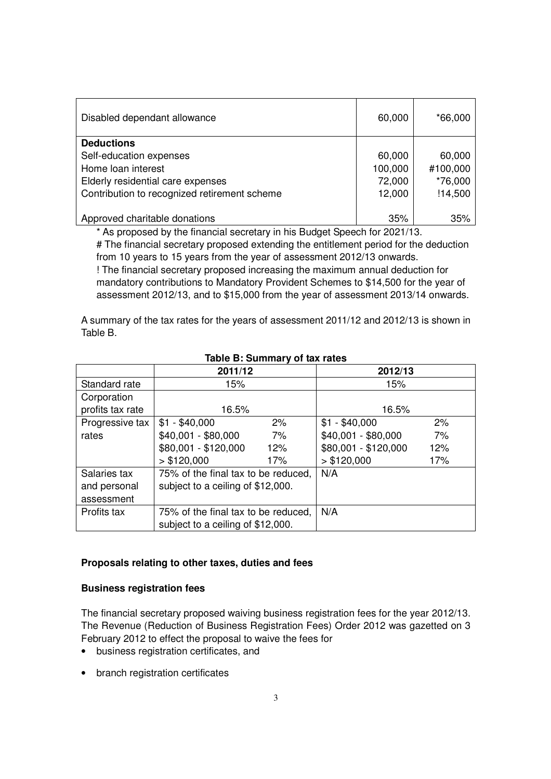| Disabled dependant allowance                 | 60,000  | *66,000  |
|----------------------------------------------|---------|----------|
| <b>Deductions</b>                            |         |          |
| Self-education expenses                      | 60,000  | 60,000   |
| Home loan interest                           | 100,000 | #100,000 |
| Elderly residential care expenses            | 72,000  | *76,000  |
| Contribution to recognized retirement scheme | 12,000  | !14,500  |
|                                              |         |          |
| Approved charitable donations                | 35%     | 35%      |

\* As proposed by the financial secretary in his Budget Speech for 2021/13.

# The financial secretary proposed extending the entitlement period for the deduction from 10 years to 15 years from the year of assessment 2012/13 onwards.

! The financial secretary proposed increasing the maximum annual deduction for mandatory contributions to Mandatory Provident Schemes to \$14,500 for the year of assessment 2012/13, and to \$15,000 from the year of assessment 2013/14 onwards.

A summary of the tax rates for the years of assessment 2011/12 and 2012/13 is shown in Table B.

|                  | 2011/12                             |     | 2012/13              |     |
|------------------|-------------------------------------|-----|----------------------|-----|
| Standard rate    | 15%                                 |     | 15%                  |     |
| Corporation      |                                     |     |                      |     |
| profits tax rate | 16.5%                               |     | 16.5%                |     |
| Progressive tax  | $$1 - $40,000$                      | 2%  | $$1 - $40,000$       | 2%  |
| rates            | \$40,001 - \$80,000                 | 7%  | \$40,001 - \$80,000  | 7%  |
|                  | \$80,001 - \$120,000                | 12% | \$80,001 - \$120,000 | 12% |
|                  | > \$120,000                         | 17% | > \$120,000          | 17% |
| Salaries tax     | 75% of the final tax to be reduced, |     | N/A                  |     |
| and personal     | subject to a ceiling of \$12,000.   |     |                      |     |
| assessment       |                                     |     |                      |     |
| Profits tax      | 75% of the final tax to be reduced, |     | N/A                  |     |
|                  | subject to a ceiling of \$12,000.   |     |                      |     |

# **Table B: Summary of tax rates**

### **Proposals relating to other taxes, duties and fees**

### **Business registration fees**

The financial secretary proposed waiving business registration fees for the year 2012/13. The Revenue (Reduction of Business Registration Fees) Order 2012 was gazetted on 3 February 2012 to effect the proposal to waive the fees for

- business registration certificates, and
- branch registration certificates